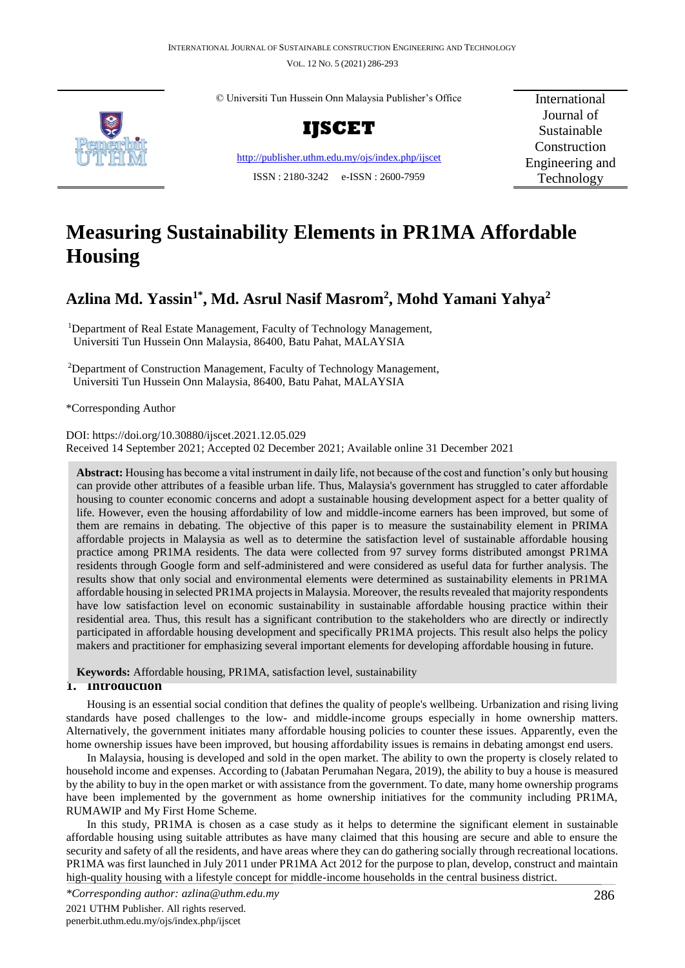VOL. 12 NO. 5 (2021) 286-293



© Universiti Tun Hussein Onn Malaysia Publisher's Office



<http://publisher.uthm.edu.my/ojs/index.php/ijscet> ISSN : 2180-3242 e-ISSN : 2600-7959

International Journal of Sustainable Construction Engineering and Technology

# **Measuring Sustainability Elements in PR1MA Affordable Housing**

# **Azlina Md. Yassin1\*, Md. Asrul Nasif Masrom<sup>2</sup> , Mohd Yamani Yahya<sup>2</sup>**

<sup>1</sup>Department of Real Estate Management, Faculty of Technology Management, Universiti Tun Hussein Onn Malaysia, 86400, Batu Pahat, MALAYSIA

<sup>2</sup>Department of Construction Management, Faculty of Technology Management, Universiti Tun Hussein Onn Malaysia, 86400, Batu Pahat, MALAYSIA

\*Corresponding Author

DOI: https://doi.org/10.30880/ijscet.2021.12.05.029 Received 14 September 2021; Accepted 02 December 2021; Available online 31 December 2021

**Abstract:** Housing has become a vital instrument in daily life, not because of the cost and function's only but housing can provide other attributes of a feasible urban life. Thus, Malaysia's government has struggled to cater affordable housing to counter economic concerns and adopt a sustainable housing development aspect for a better quality of life. However, even the housing affordability of low and middle-income earners has been improved, but some of them are remains in debating. The objective of this paper is to measure the sustainability element in PRIMA affordable projects in Malaysia as well as to determine the satisfaction level of sustainable affordable housing practice among PR1MA residents. The data were collected from 97 survey forms distributed amongst PR1MA residents through Google form and self-administered and were considered as useful data for further analysis. The results show that only social and environmental elements were determined as sustainability elements in PR1MA affordable housing in selected PR1MA projects in Malaysia. Moreover, the results revealed that majority respondents have low satisfaction level on economic sustainability in sustainable affordable housing practice within their residential area. Thus, this result has a significant contribution to the stakeholders who are directly or indirectly participated in affordable housing development and specifically PR1MA projects. This result also helps the policy makers and practitioner for emphasizing several important elements for developing affordable housing in future.

**Keywords:** Affordable housing, PR1MA, satisfaction level, sustainability

# **1. Introduction**

Housing is an essential social condition that defines the quality of people's wellbeing. Urbanization and rising living standards have posed challenges to the low- and middle-income groups especially in home ownership matters. Alternatively, the government initiates many affordable housing policies to counter these issues. Apparently, even the home ownership issues have been improved, but housing affordability issues is remains in debating amongst end users.

In Malaysia, housing is developed and sold in the open market. The ability to own the property is closely related to household income and expenses. According to (Jabatan Perumahan Negara, 2019), the ability to buy a house is measured by the ability to buy in the open market or with assistance from the government. To date, many home ownership programs have been implemented by the government as home ownership initiatives for the community including PR1MA, RUMAWIP and My First Home Scheme.

In this study, PR1MA is chosen as a case study as it helps to determine the significant element in sustainable affordable housing using suitable attributes as have many claimed that this housing are secure and able to ensure the security and safety of all the residents, and have areas where they can do gathering socially through recreational locations. PR1MA was first launched in July 2011 under PR1MA Act 2012 for the purpose to plan, develop, construct and maintain high-quality housing with a lifestyle concept for middle-income households in the central business district.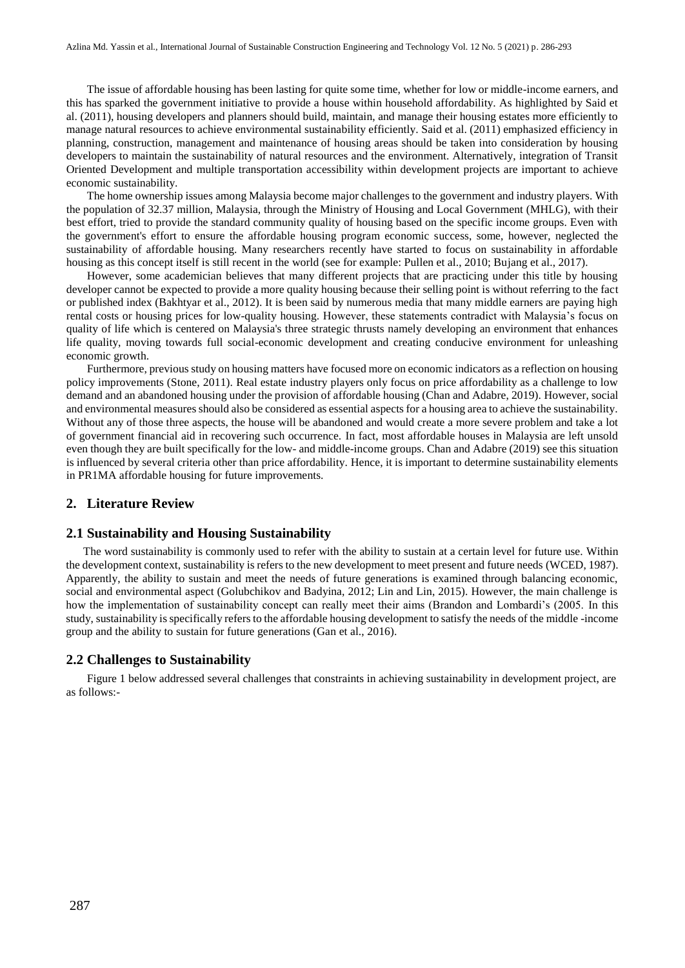The issue of affordable housing has been lasting for quite some time, whether for low or middle-income earners, and this has sparked the government initiative to provide a house within household affordability. As highlighted by Said et al. (2011), housing developers and planners should build, maintain, and manage their housing estates more efficiently to manage natural resources to achieve environmental sustainability efficiently. Said et al. (2011) emphasized efficiency in planning, construction, management and maintenance of housing areas should be taken into consideration by housing developers to maintain the sustainability of natural resources and the environment. Alternatively, integration of Transit Oriented Development and multiple transportation accessibility within development projects are important to achieve economic sustainability.

The home ownership issues among Malaysia become major challenges to the government and industry players. With the population of 32.37 million, Malaysia, through the Ministry of Housing and Local Government (MHLG), with their best effort, tried to provide the standard community quality of housing based on the specific income groups. Even with the government's effort to ensure the affordable housing program economic success, some, however, neglected the sustainability of affordable housing. Many researchers recently have started to focus on sustainability in affordable housing as this concept itself is still recent in the world (see for example: Pullen et al., 2010; Bujang et al., 2017).

However, some academician believes that many different projects that are practicing under this title by housing developer cannot be expected to provide a more quality housing because their selling point is without referring to the fact or published index (Bakhtyar et al., 2012). It is been said by numerous media that many middle earners are paying high rental costs or housing prices for low-quality housing. However, these statements contradict with Malaysia's focus on quality of life which is centered on Malaysia's three strategic thrusts namely developing an environment that enhances life quality, moving towards full social-economic development and creating conducive environment for unleashing economic growth.

Furthermore, previous study on housing matters have focused more on economic indicators as a reflection on housing policy improvements (Stone, 2011). Real estate industry players only focus on price affordability as a challenge to low demand and an abandoned housing under the provision of affordable housing (Chan and Adabre, 2019). However, social and environmental measures should also be considered as essential aspects for a housing area to achieve the sustainability. Without any of those three aspects, the house will be abandoned and would create a more severe problem and take a lot of government financial aid in recovering such occurrence. In fact, most affordable houses in Malaysia are left unsold even though they are built specifically for the low- and middle-income groups. Chan and Adabre (2019) see this situation is influenced by several criteria other than price affordability. Hence, it is important to determine sustainability elements in PR1MA affordable housing for future improvements.

## **2. Literature Review**

## **2.1 Sustainability and Housing Sustainability**

The word sustainability is commonly used to refer with the ability to sustain at a certain level for future use. Within the development context, sustainability is refers to the new development to meet present and future needs (WCED, 1987). Apparently, the ability to sustain and meet the needs of future generations is examined through balancing economic, social and environmental aspect (Golubchikov and Badyina, 2012; Lin and Lin, 2015). However, the main challenge is how the implementation of sustainability concept can really meet their aims (Brandon and Lombardi's (2005. In this study, sustainability is specifically refers to the affordable housing development to satisfy the needs of the middle -income group and the ability to sustain for future generations (Gan et al., 2016).

#### **2.2 Challenges to Sustainability**

Figure 1 below addressed several challenges that constraints in achieving sustainability in development project, are as follows:-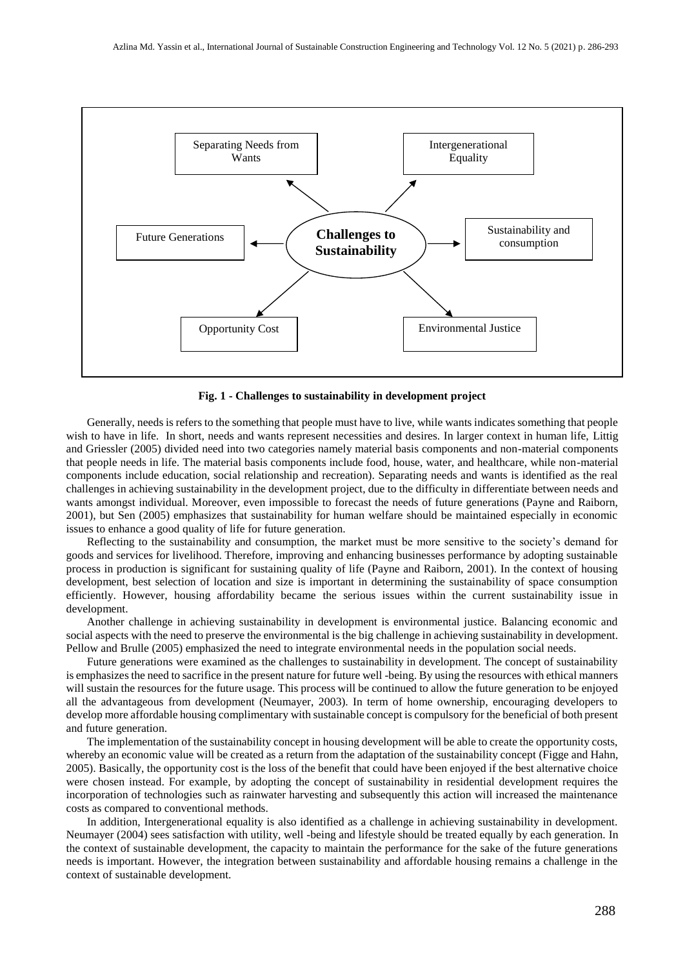

**Fig. 1 - Challenges to sustainability in development project**

Generally, needs is refers to the something that people must have to live, while wants indicates something that people wish to have in life. In short, needs and wants represent necessities and desires. In larger context in human life, Littig and Griessler (2005) divided need into two categories namely material basis components and non-material components that people needs in life. The material basis components include food, house, water, and healthcare, while non-material components include education, social relationship and recreation). Separating needs and wants is identified as the real challenges in achieving sustainability in the development project, due to the difficulty in differentiate between needs and wants amongst individual. Moreover, even impossible to forecast the needs of future generations (Payne and Raiborn, 2001), but Sen (2005) emphasizes that sustainability for human welfare should be maintained especially in economic issues to enhance a good quality of life for future generation.

Reflecting to the sustainability and consumption, the market must be more sensitive to the society's demand for goods and services for livelihood. Therefore, improving and enhancing businesses performance by adopting sustainable process in production is significant for sustaining quality of life (Payne and Raiborn, 2001). In the context of housing development, best selection of location and size is important in determining the sustainability of space consumption efficiently. However, housing affordability became the serious issues within the current sustainability issue in development.

Another challenge in achieving sustainability in development is environmental justice. Balancing economic and social aspects with the need to preserve the environmental is the big challenge in achieving sustainability in development. Pellow and Brulle (2005) emphasized the need to integrate environmental needs in the population social needs.

Future generations were examined as the challenges to sustainability in development. The concept of sustainability is emphasizes the need to sacrifice in the present nature for future well -being. By using the resources with ethical manners will sustain the resources for the future usage. This process will be continued to allow the future generation to be enjoyed all the advantageous from development (Neumayer, 2003). In term of home ownership, encouraging developers to develop more affordable housing complimentary with sustainable concept is compulsory for the beneficial of both present and future generation.

The implementation of the sustainability concept in housing development will be able to create the opportunity costs, whereby an economic value will be created as a return from the adaptation of the sustainability concept (Figge and Hahn, 2005). Basically, the opportunity cost is the loss of the benefit that could have been enjoyed if the best alternative choice were chosen instead. For example, by adopting the concept of sustainability in residential development requires the incorporation of technologies such as rainwater harvesting and subsequently this action will increased the maintenance costs as compared to conventional methods.

In addition, Intergenerational equality is also identified as a challenge in achieving sustainability in development. Neumayer (2004) sees satisfaction with utility, well -being and lifestyle should be treated equally by each generation. In the context of sustainable development, the capacity to maintain the performance for the sake of the future generations needs is important. However, the integration between sustainability and affordable housing remains a challenge in the context of sustainable development.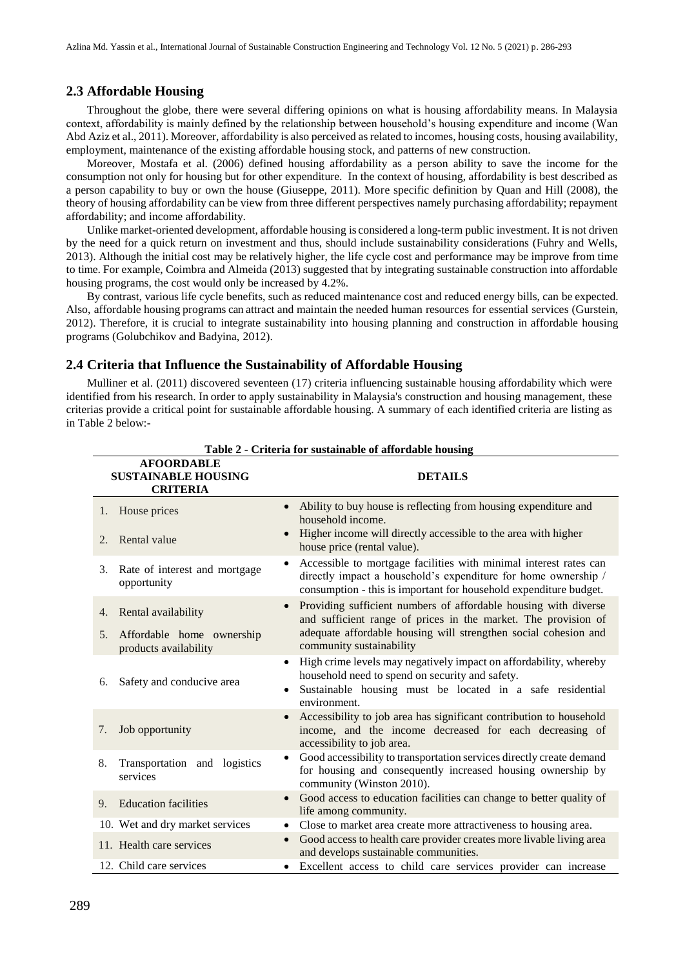#### **2.3 Affordable Housing**

Throughout the globe, there were several differing opinions on what is housing affordability means. In Malaysia context, affordability is mainly defined by the relationship between household's housing expenditure and income (Wan Abd Aziz et al., 2011). Moreover, affordability is also perceived as related to incomes, housing costs, housing availability, employment, maintenance of the existing affordable housing stock, and patterns of new construction.

Moreover, Mostafa et al. (2006) defined housing affordability as a person ability to save the income for the consumption not only for housing but for other expenditure. In the context of housing, affordability is best described as a person capability to buy or own the house (Giuseppe, 2011). More specific definition by Quan and Hill (2008), the theory of housing affordability can be view from three different perspectives namely purchasing affordability; repayment affordability; and income affordability.

Unlike market-oriented development, affordable housing is considered a long-term public investment. It is not driven by the need for a quick return on investment and thus, should include sustainability considerations (Fuhry and Wells, 2013). Although the initial cost may be relatively higher, the life cycle cost and performance may be improve from time to time. For example, Coimbra and Almeida (2013) suggested that by integrating sustainable construction into affordable housing programs, the cost would only be increased by 4.2%.

By contrast, various life cycle benefits, such as reduced maintenance cost and reduced energy bills, can be expected. Also, affordable housing programs can attract and maintain the needed human resources for essential services (Gurstein, 2012). Therefore, it is crucial to integrate sustainability into housing planning and construction in affordable housing programs (Golubchikov and Badyina, 2012).

#### **2.4 Criteria that Influence the Sustainability of Affordable Housing**

Mulliner et al. (2011) discovered seventeen (17) criteria influencing sustainable housing affordability which were identified from his research. In order to apply sustainability in Malaysia's construction and housing management, these criterias provide a critical point for sustainable affordable housing. A summary of each identified criteria are listing as in Table 2 below:-

| <b>AFOORDABLE</b><br><b>SUSTAINABLE HOUSING</b><br><b>CRITERIA</b> | <b>DETAILS</b>                                                                                                                                                                                                        |
|--------------------------------------------------------------------|-----------------------------------------------------------------------------------------------------------------------------------------------------------------------------------------------------------------------|
| House prices<br>1.                                                 | Ability to buy house is reflecting from housing expenditure and<br>household income.                                                                                                                                  |
| Rental value<br>2.                                                 | Higher income will directly accessible to the area with higher<br>house price (rental value).                                                                                                                         |
| Rate of interest and mortgage<br>3.<br>opportunity                 | Accessible to mortgage facilities with minimal interest rates can<br>$\bullet$<br>directly impact a household's expenditure for home ownership /<br>consumption - this is important for household expenditure budget. |
| Rental availability<br>4.                                          | Providing sufficient numbers of affordable housing with diverse<br>and sufficient range of prices in the market. The provision of                                                                                     |
| Affordable home ownership<br>5.<br>products availability           | adequate affordable housing will strengthen social cohesion and<br>community sustainability                                                                                                                           |
| Safety and conducive area<br>6.                                    | High crime levels may negatively impact on affordability, whereby<br>household need to spend on security and safety.<br>Sustainable housing must be located in a safe residential<br>environment.                     |
| Job opportunity<br>7.                                              | Accessibility to job area has significant contribution to household<br>income, and the income decreased for each decreasing of<br>accessibility to job area.                                                          |
| Transportation and logistics<br>8.<br>services                     | Good accessibility to transportation services directly create demand<br>for housing and consequently increased housing ownership by<br>community (Winston 2010).                                                      |
| <b>Education facilities</b><br>9.                                  | Good access to education facilities can change to better quality of<br>$\bullet$<br>life among community.                                                                                                             |
| 10. Wet and dry market services                                    | Close to market area create more attractiveness to housing area.<br>٠                                                                                                                                                 |
| 11. Health care services                                           | Good access to health care provider creates more livable living area<br>and develops sustainable communities.                                                                                                         |
| 12. Child care services                                            | Excellent access to child care services provider can increase                                                                                                                                                         |

**Table 2 - Criteria for sustainable of affordable housing**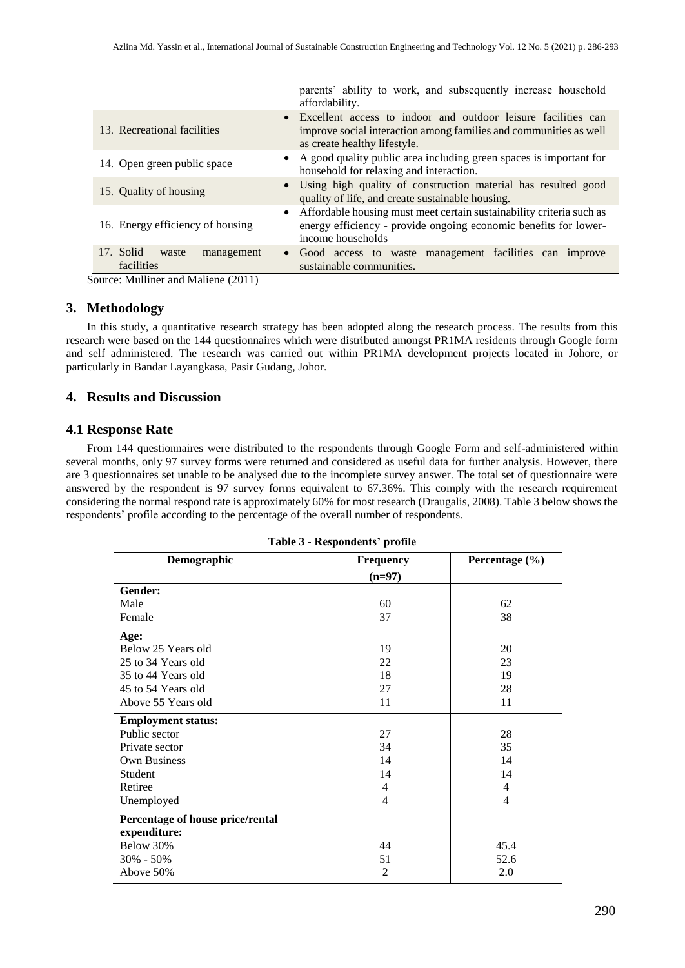|                                                | parents' ability to work, and subsequently increase household<br>affordability.                                                                                      |
|------------------------------------------------|----------------------------------------------------------------------------------------------------------------------------------------------------------------------|
| 13. Recreational facilities                    | • Excellent access to indoor and outdoor leisure facilities can<br>improve social interaction among families and communities as well<br>as create healthy lifestyle. |
| 14. Open green public space                    | • A good quality public area including green spaces is important for<br>household for relaxing and interaction.                                                      |
| 15. Quality of housing                         | • Using high quality of construction material has resulted good<br>quality of life, and create sustainable housing.                                                  |
| 16. Energy efficiency of housing               | • Affordable housing must meet certain sustainability criteria such as<br>energy efficiency - provide ongoing economic benefits for lower-<br>income households      |
| 17. Solid<br>waste<br>management<br>facilities | • Good access to waste management facilities can improve<br>sustainable communities.                                                                                 |

Source: Mulliner and Maliene (2011)

#### **3. Methodology**

In this study, a quantitative research strategy has been adopted along the research process. The results from this research were based on the 144 questionnaires which were distributed amongst PR1MA residents through Google form and self administered. The research was carried out within PR1MA development projects located in Johore, or particularly in Bandar Layangkasa, Pasir Gudang, Johor.

## **4. Results and Discussion**

#### **4.1 Response Rate**

From 144 questionnaires were distributed to the respondents through Google Form and self-administered within several months, only 97 survey forms were returned and considered as useful data for further analysis. However, there are 3 questionnaires set unable to be analysed due to the incomplete survey answer. The total set of questionnaire were answered by the respondent is 97 survey forms equivalent to 67.36%. This comply with the research requirement considering the normal respond rate is approximately 60% for most research (Draugalis, 2008). Table 3 below shows the respondents' profile according to the percentage of the overall number of respondents.

| Demographic                      | <b>Frequency</b> | Percentage (%) |
|----------------------------------|------------------|----------------|
|                                  | $(n=97)$         |                |
| Gender:                          |                  |                |
| Male                             | 60               | 62             |
| Female                           | 37               | 38             |
| Age:                             |                  |                |
| Below 25 Years old               | 19               | 20             |
| 25 to 34 Years old               | 22               | 23             |
| 35 to 44 Years old               | 18               | 19             |
| 45 to 54 Years old               | 27               | 28             |
| Above 55 Years old               | 11               | 11             |
| <b>Employment status:</b>        |                  |                |
| Public sector                    | 27               | 28             |
| Private sector                   | 34               | 35             |
| <b>Own Business</b>              | 14               | 14             |
| Student                          | 14               | 14             |
| Retiree                          | 4                | 4              |
| Unemployed                       | 4                | 4              |
| Percentage of house price/rental |                  |                |
| expenditure:                     |                  |                |
| Below 30%                        | 44               | 45.4           |
| $30\% - 50\%$                    | 51               | 52.6           |
| Above 50%                        | 2                | 2.0            |

|  |  | <b>Table 3 - Respondents' profile</b> |  |
|--|--|---------------------------------------|--|
|--|--|---------------------------------------|--|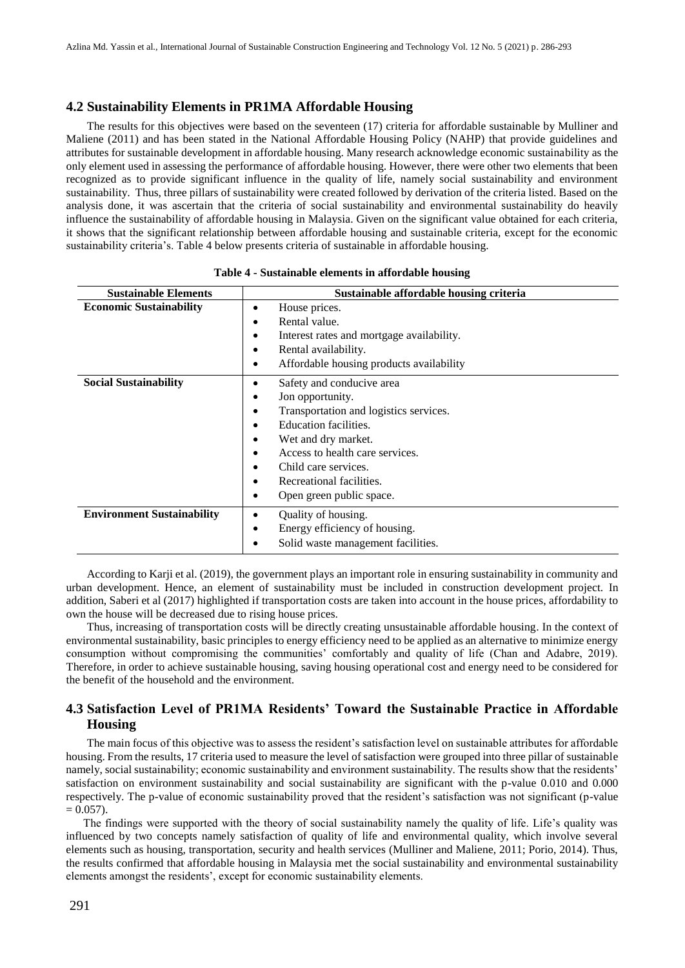#### **4.2 Sustainability Elements in PR1MA Affordable Housing**

The results for this objectives were based on the seventeen (17) criteria for affordable sustainable by Mulliner and Maliene (2011) and has been stated in the National Affordable Housing Policy (NAHP) that provide guidelines and attributes for sustainable development in affordable housing. Many research acknowledge economic sustainability as the only element used in assessing the performance of affordable housing. However, there were other two elements that been recognized as to provide significant influence in the quality of life, namely social sustainability and environment sustainability. Thus, three pillars of sustainability were created followed by derivation of the criteria listed. Based on the analysis done, it was ascertain that the criteria of social sustainability and environmental sustainability do heavily influence the sustainability of affordable housing in Malaysia. Given on the significant value obtained for each criteria, it shows that the significant relationship between affordable housing and sustainable criteria, except for the economic sustainability criteria's. Table 4 below presents criteria of sustainable in affordable housing.

| <b>Sustainable Elements</b>       | Sustainable affordable housing criteria                                                                                                                                                                                                                                                                                 |  |
|-----------------------------------|-------------------------------------------------------------------------------------------------------------------------------------------------------------------------------------------------------------------------------------------------------------------------------------------------------------------------|--|
| <b>Economic Sustainability</b>    | House prices.<br>٠<br>Rental value.<br>٠<br>Interest rates and mortgage availability.<br>٠<br>Rental availability.<br>٠<br>Affordable housing products availability<br>$\bullet$                                                                                                                                        |  |
| <b>Social Sustainability</b>      | Safety and conducive area<br>٠<br>Jon opportunity.<br>٠<br>Transportation and logistics services.<br>$\bullet$<br>Education facilities.<br>٠<br>Wet and dry market.<br>٠<br>Access to health care services.<br>٠<br>Child care services.<br>٠<br>Recreational facilities.<br>$\bullet$<br>Open green public space.<br>٠ |  |
| <b>Environment Sustainability</b> | Quality of housing.<br>٠<br>Energy efficiency of housing.<br>٠<br>Solid waste management facilities.<br>٠                                                                                                                                                                                                               |  |

**Table 4 - Sustainable elements in affordable housing**

According to Karji et al. (2019), the government plays an important role in ensuring sustainability in community and urban development. Hence, an element of sustainability must be included in construction development project. In addition, Saberi et al (2017) highlighted if transportation costs are taken into account in the house prices, affordability to own the house will be decreased due to rising house prices.

Thus, increasing of transportation costs will be directly creating unsustainable affordable housing. In the context of environmental sustainability, basic principles to energy efficiency need to be applied as an alternative to minimize energy consumption without compromising the communities' comfortably and quality of life (Chan and Adabre, 2019). Therefore, in order to achieve sustainable housing, saving housing operational cost and energy need to be considered for the benefit of the household and the environment.

# **4.3 Satisfaction Level of PR1MA Residents' Toward the Sustainable Practice in Affordable Housing**

The main focus of this objective was to assess the resident's satisfaction level on sustainable attributes for affordable housing. From the results, 17 criteria used to measure the level of satisfaction were grouped into three pillar of sustainable namely, social sustainability; economic sustainability and environment sustainability. The results show that the residents' satisfaction on environment sustainability and social sustainability are significant with the p-value 0.010 and 0.000 respectively. The p-value of economic sustainability proved that the resident's satisfaction was not significant (p-value  $= 0.057$ ).

The findings were supported with the theory of social sustainability namely the quality of life. Life's quality was influenced by two concepts namely satisfaction of quality of life and environmental quality, which involve several elements such as housing, transportation, security and health services (Mulliner and Maliene, 2011; Porio, 2014). Thus, the results confirmed that affordable housing in Malaysia met the social sustainability and environmental sustainability elements amongst the residents', except for economic sustainability elements.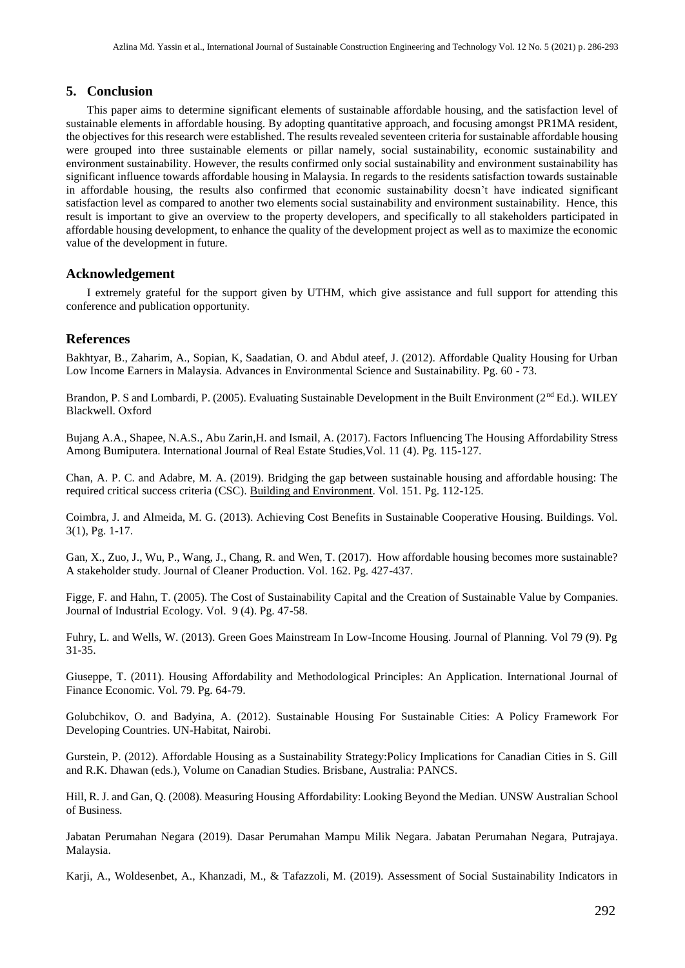# **5. Conclusion**

This paper aims to determine significant elements of sustainable affordable housing, and the satisfaction level of sustainable elements in affordable housing. By adopting quantitative approach, and focusing amongst PR1MA resident, the objectives for this research were established. The results revealed seventeen criteria for sustainable affordable housing were grouped into three sustainable elements or pillar namely, social sustainability, economic sustainability and environment sustainability. However, the results confirmed only social sustainability and environment sustainability has significant influence towards affordable housing in Malaysia. In regards to the residents satisfaction towards sustainable in affordable housing, the results also confirmed that economic sustainability doesn't have indicated significant satisfaction level as compared to another two elements social sustainability and environment sustainability. Hence, this result is important to give an overview to the property developers, and specifically to all stakeholders participated in affordable housing development, to enhance the quality of the development project as well as to maximize the economic value of the development in future.

# **Acknowledgement**

I extremely grateful for the support given by UTHM, which give assistance and full support for attending this conference and publication opportunity.

## **References**

Bakhtyar, B., Zaharim, A., Sopian, K, Saadatian, O. and Abdul ateef, J. (2012). Affordable Quality Housing for Urban Low Income Earners in Malaysia. Advances in Environmental Science and Sustainability. Pg. 60 - 73.

Brandon, P. S and Lombardi, P. (2005). Evaluating Sustainable Development in the Built Environment (2<sup>nd</sup> Ed.). WILEY Blackwell. Oxford

Bujang A.A., Shapee, N.A.S., Abu Zarin,H. and Ismail, A. (2017). Factors Influencing The Housing Affordability Stress Among Bumiputera. International Journal of Real Estate Studies,Vol. 11 (4). Pg. 115-127.

Chan, [A. P. C.](https://www.sciencedirect.com/science/article/abs/pii/S0360132319300356#!) and Adabre, M. A. (2019). Bridging the gap between sustainable housing and affordable housing: The required critical success criteria (CSC). [Building and Environment.](https://www.sciencedirect.com/science/journal/03601323) Vol. 151. Pg. 112-125.

Coimbra, J. and Almeida, M. G. (2013). Achieving Cost Benefits in Sustainable Cooperative Housing. Buildings. Vol. 3(1), Pg. 1-17.

Gan, X., Zuo, J., Wu, P., Wang, J., Chang, R. and Wen, T. (2017). How affordable housing becomes more sustainable? A stakeholder study. Journal of Cleaner Production. Vol. 162. Pg. 427-437.

Figge, F. and Hahn, T. (2005). The Cost of Sustainability Capital and the Creation of Sustainable Value by Companies. Journal of Industrial Ecology. Vol. 9 (4). Pg. 47-58.

[Fuhry, L. and Wells, W. \(2013\). Green Goes Mainstream In Low-Income Housing. Journal](http://refhub.elsevier.com/S0959-6526(17)31218-0/sref15) [of Planning. V](http://refhub.elsevier.com/S0959-6526(17)31218-0/sref15)o[l 79 \(9\). Pg](http://refhub.elsevier.com/S0959-6526(17)31218-0/sref15)  [31-35.](http://refhub.elsevier.com/S0959-6526(17)31218-0/sref15)

Giuseppe, T. (2011). Housing Affordability and Methodological Principles: An Application. International Journal of Finance Economic. Vol. 79. Pg. 64-79.

Golubchikov, O. and Badyina, A. (2012). Sustainable Housing For Sustainable Cities: A Policy Framework For Developing Countries. UN-Habitat, Nairobi.

Gurstein, P. (2012). Affordable Housing as a Sustainability Strategy:Policy Implications for Canadian Cities in S. Gill and R.K. Dhawan (eds.), Volume on Canadian Studies. Brisbane, Australia: PANCS.

Hill, R. J. and Gan, Q. (2008). Measuring Housing Affordability: Looking Beyond the Median. [UNSW Australian School](https://papers.ssrn.com/sol3/papers.cfm?abstract_id=1310294)  [of Business.](https://papers.ssrn.com/sol3/papers.cfm?abstract_id=1310294)

Jabatan Perumahan Negara (2019). Dasar Perumahan Mampu Milik Negara. Jabatan Perumahan Negara, Putrajaya. Malaysia.

Karji, A., Woldesenbet, A., Khanzadi, M., & Tafazzoli, M. (2019). Assessment of Social Sustainability Indicators in